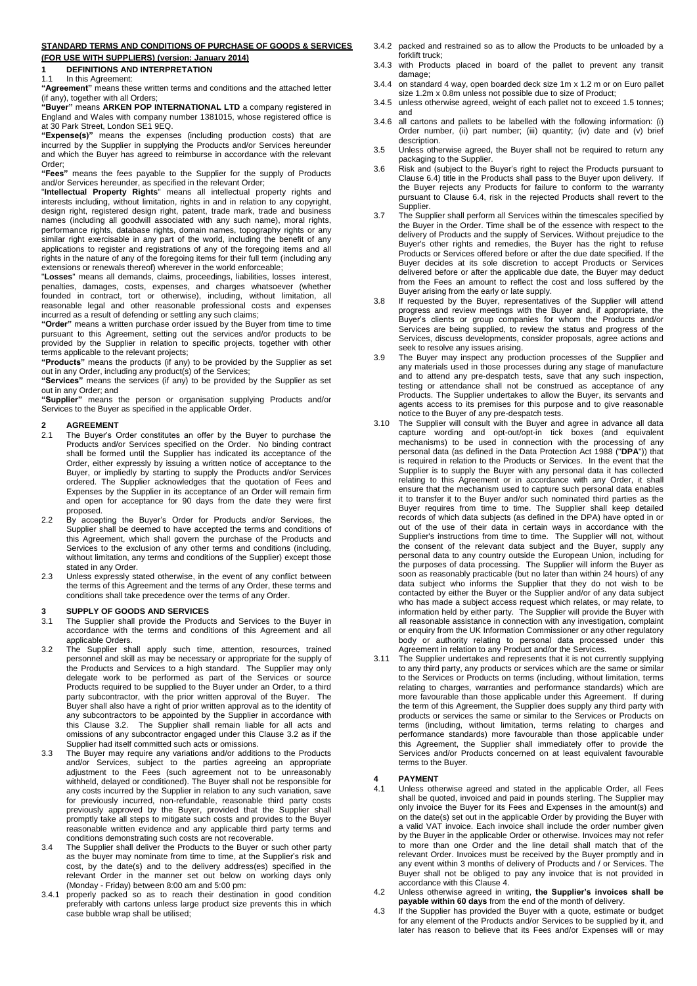### **STANDARD TERMS AND CONDITIONS OF PURCHASE OF GOODS & SERVICES (FOR USE WITH SUPPLIERS) (version: January 2014)**

# **1 DEFINITIONS AND INTERPRETATION**<br>11 In this Agreement:

### In this Agreement:

**"Agreement"** means these written terms and conditions and the attached letter (if any), together with all Orders;

**"Buyer"** means **ARKEN POP INTERNATIONAL LTD** a company registered in England and Wales with company number 1381015, whose registered office is at 30 Park Street, London SE1 9EQ.

**"Expense(s)"** means the expenses (including production costs) that are incurred by the Supplier in supplying the Products and/or Services hereunder and which the Buyer has agreed to reimburse in accordance with the relevant Order;

**"Fees"** means the fees payable to the Supplier for the supply of Products and/or Services hereunder, as specified in the relevant Order;

"**Intellectual Property Rights**" means all intellectual property rights and interests including, without limitation, rights in and in relation to any copyright, design right, registered design right, patent, trade mark, trade and business names (including all goodwill associated with any such name), moral rights, performance rights, database rights, domain names, topography rights or any similar right exercisable in any part of the world, including the benefit of any applications to register and registrations of any of the foregoing items and all rights in the nature of any of the foregoing items for their full term (including any extensions or renewals thereof) wherever in the world enforceable;

"**Losses**" means all demands, claims, proceedings, liabilities, losses interest, penalties, damages, costs, expenses, and charges whatsoever (whether founded in contract, tort or otherwise), including, without limitation, all reasonable legal and other reasonable professional costs and expenses incurred as a result of defending or settling any such claims;

**"Order"** means a written purchase order issued by the Buyer from time to time pursuant to this Agreement, setting out the services and/or products to be provided by the Supplier in relation to specific projects, together with other terms applicable to the relevant projects;

**"Products"** means the products (if any) to be provided by the Supplier as set out in any Order, including any product(s) of the Services;

**"Services"** means the services (if any) to be provided by the Supplier as set

out in any Order; and **"Supplier"** means the person or organisation supplying Products and/or Services to the Buyer as specified in the applicable Order.

## **2.1 AGREEMENT**<br>2.1 The Buver's 0

- 2.1 The Buyer's Order constitutes an offer by the Buyer to purchase the Products and/or Services specified on the Order. No binding contract shall be formed until the Supplier has indicated its acceptance of the Order, either expressly by issuing a written notice of acceptance to the Buyer, or impliedly by starting to supply the Products and/or Services ordered. The Supplier acknowledges that the quotation of Fees and Expenses by the Supplier in its acceptance of an Order will remain firm and open for acceptance for 90 days from the date they were first proposed.
- 2.2 By accepting the Buyer's Order for Products and/or Services, the Supplier shall be deemed to have accepted the terms and conditions of this Agreement, which shall govern the purchase of the Products and Services to the exclusion of any other terms and conditions (including, without limitation, any terms and conditions of the Supplier) except those stated in any Order.
- 2.3 Unless expressly stated otherwise, in the event of any conflict between the terms of this Agreement and the terms of any Order, these terms and conditions shall take precedence over the terms of any Order.

## **3 SUPPLY OF GOODS AND SERVICES**

- 3.1 The Supplier shall provide the Products and Services to the Buyer in accordance with the terms and conditions of this Agreement and all applicable Orders.
- 3.2 The Supplier shall apply such time, attention, resources, trained personnel and skill as may be necessary or appropriate for the supply of the Products and Services to a high standard. The Supplier may only delegate work to be performed as part of the Services or source Products required to be supplied to the Buyer under an Order, to a third party subcontractor, with the prior written approval of the Buyer. The Buyer shall also have a right of prior written approval as to the identity of any subcontractors to be appointed by the Supplier in accordance with this Clause 3.2. The Supplier shall remain liable for all acts and omissions of any subcontractor engaged under this Clause 3.2 as if the Supplier had itself committed such acts or omissions.
- 3.3 The Buyer may require any variations and/or additions to the Products and/or Services, subject to the parties agreeing an appropriate adjustment to the Fees (such agreement not to be unreasonably withheld, delayed or conditioned). The Buyer shall not be responsible for any costs incurred by the Supplier in relation to any such variation, save for previously incurred, non-refundable, reasonable third party costs previously approved by the Buyer, provided that the Supplier shall promptly take all steps to mitigate such costs and provides to the Buyer reasonable written evidence and any applicable third party terms and conditions demonstrating such costs are not recoverable.
- 3.4 The Supplier shall deliver the Products to the Buyer or such other party as the buyer may nominate from time to time, at the Supplier's risk and cost, by the date(s) and to the delivery address(es) specified in the relevant Order in the manner set out below on working days only (Monday - Friday) between 8:00 am and 5:00 pm:
- 3.4.1 properly packed so as to reach their destination in good condition preferably with cartons unless large product size prevents this in which case bubble wrap shall be utilised;
- 3.4.2 packed and restrained so as to allow the Products to be unloaded by a forklift truck;
- 3.4.3 with Products placed in board of the pallet to prevent any transit damage;
- 3.4.4 on standard 4 way, open boarded deck size 1m x 1.2 m or on Euro pallet size 1.2m x 0.8m unless not possible due to size of Product;
- 3.4.5 unless otherwise agreed, weight of each pallet not to exceed 1.5 tonnes; and
- 3.4.6 all cartons and pallets to be labelled with the following information: (i) Order number, (ii) part number; (iii) quantity; (iv) date and (v) brief description
- 3.5 Unless otherwise agreed, the Buyer shall not be required to return any packaging to the Supplier.
- 3.6 Risk and (subject to the Buyer's right to reject the Products pursuant to Clause 6.4) title in the Products shall pass to the Buyer upon delivery. If the Buyer rejects any Products for failure to conform to the warranty pursuant to Clause 6.4, risk in the rejected Products shall revert to the Supplier.
- 3.7 The Supplier shall perform all Services within the timescales specified by the Buyer in the Order. Time shall be of the essence with respect to the delivery of Products and the supply of Services. Without prejudice to the Buyer's other rights and remedies, the Buyer has the right to refuse Products or Services offered before or after the due date specified. If the Buyer decides at its sole discretion to accept Products or Services delivered before or after the applicable due date, the Buyer may deduct from the Fees an amount to reflect the cost and loss suffered by the Buyer arising from the early or late supply.
- 3.8 If requested by the Buyer, representatives of the Supplier will attend progress and review meetings with the Buyer and, if appropriate, the Buyer's clients or group companies for whom the Products and/or Services are being supplied, to review the status and progress of the Services, discuss developments, consider proposals, agree actions and seek to resolve any issues arising.
- 3.9 The Buyer may inspect any production processes of the Supplier and any materials used in those processes during any stage of manufacture and to attend any pre-despatch tests, save that any such inspection, testing or attendance shall not be construed as acceptance of any Products. The Supplier undertakes to allow the Buyer, its servants and agents access to its premises for this purpose and to give reasonable notice to the Buyer of any pre-despatch tests.
- 3.10 The Supplier will consult with the Buyer and agree in advance all data capture wording and opt-out/opt-in tick boxes (and equivalent mechanisms) to be used in connection with the processing of any personal data (as defined in the Data Protection Act 1988 ("**DPA**")) that is required in relation to the Products or Services. In the event that the Supplier is to supply the Buyer with any personal data it has collected relating to this Agreement or in accordance with any Order, it shall ensure that the mechanism used to capture such personal data enables it to transfer it to the Buyer and/or such nominated third parties as the Buyer requires from time to time. The Supplier shall keep detailed records of which data subjects (as defined in the DPA) have opted in or out of the use of their data in certain ways in accordance with the Supplier's instructions from time to time. The Supplier will not, without the consent of the relevant data subject and the Buyer, supply any personal data to any country outside the European Union, including for the purposes of data processing. The Supplier will inform the Buyer as soon as reasonably practicable (but no later than within 24 hours) of any data subject who informs the Supplier that they do not wish to be contacted by either the Buyer or the Supplier and/or of any data subject who has made a subject access request which relates, or may relate, to information held by either party. The Supplier will provide the Buyer with all reasonable assistance in connection with any investigation, complaint or enquiry from the UK Information Commissioner or any other regulatory body or authority relating to personal data processed under this Agreement in relation to any Product and/or the Services.
- 3.11 The Supplier undertakes and represents that it is not currently supplying to any third party, any products or services which are the same or similar to the Services or Products on terms (including, without limitation, terms relating to charges, warranties and performance standards) which are more favourable than those applicable under this Agreement. If during the term of this Agreement, the Supplier does supply any third party with products or services the same or similar to the Services or Products on terms (including, without limitation, terms relating to charges and performance standards) more favourable than those applicable under this Agreement, the Supplier shall immediately offer to provide the Services and/or Products concerned on at least equivalent favourable terms to the Buyer.

### **4 PAYMENT**

- Unless otherwise agreed and stated in the applicable Order, all Fees shall be quoted, invoiced and paid in pounds sterling. The Supplier may only invoice the Buyer for its Fees and Expenses in the amount(s) and on the date(s) set out in the applicable Order by providing the Buyer with a valid VAT invoice. Each invoice shall include the order number given by the Buyer in the applicable Order or otherwise. Invoices may not refer to more than one Order and the line detail shall match that of the relevant Order. Invoices must be received by the Buyer promptly and in any event within 3 months of delivery of Products and / or Services. The Buyer shall not be obliged to pay any invoice that is not provided in accordance with this Clause 4. 4.2 Unless otherwise agreed in writing, **the Supplier's invoices shall be**
- **payable within 60 days** from the end of the month of delivery.
- 4.3 If the Supplier has provided the Buyer with a quote, estimate or budget for any element of the Products and/or Services to be supplied by it, and later has reason to believe that its Fees and/or Expenses will or may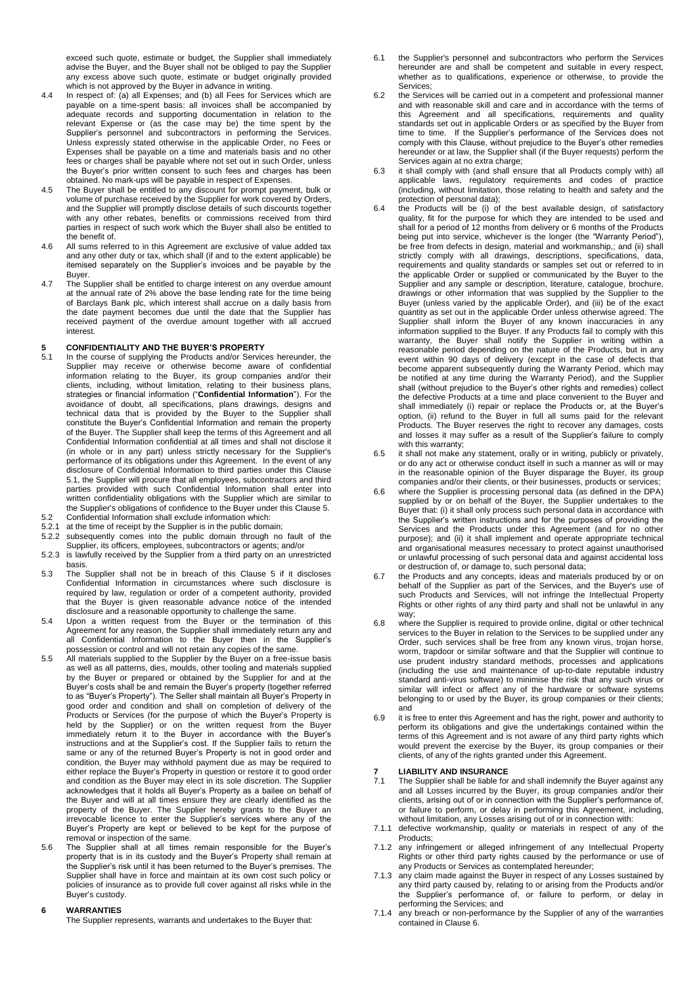exceed such quote, estimate or budget, the Supplier shall immediately advise the Buyer, and the Buyer shall not be obliged to pay the Supplier any excess above such quote, estimate or budget originally provided which is not approved by the Buyer in advance in writing.

- 4.4 In respect of: (a) all Expenses; and (b) all Fees for Services which are payable on a time-spent basis: all invoices shall be accompanied by adequate records and supporting documentation in relation to the relevant Expense or (as the case may be) the time spent by the Supplier's personnel and subcontractors in performing the Services. Unless expressly stated otherwise in the applicable Order, no Fees or Expenses shall be payable on a time and materials basis and no other fees or charges shall be payable where not set out in such Order, unless the Buyer's prior written consent to such fees and charges has been obtained. No mark-ups will be payable in respect of Expenses.
- 4.5 The Buyer shall be entitled to any discount for prompt payment, bulk or volume of purchase received by the Supplier for work covered by Orders, and the Supplier will promptly disclose details of such discounts together with any other rebates, benefits or commissions received from third parties in respect of such work which the Buyer shall also be entitled to the benefit of.
- 4.6 All sums referred to in this Agreement are exclusive of value added tax and any other duty or tax, which shall (if and to the extent applicable) be itemised separately on the Supplier's invoices and be payable by the Buyer.
- 4.7 The Supplier shall be entitled to charge interest on any overdue amount at the annual rate of 2% above the base lending rate for the time being of Barclays Bank plc, which interest shall accrue on a daily basis from the date payment becomes due until the date that the Supplier has received payment of the overdue amount together with all accrued interest.

### **5 CONFIDENTIALITY AND THE BUYER'S PROPERTY**

- In the course of supplying the Products and/or Services hereunder, the Supplier may receive or otherwise become aware of confidential information relating to the Buyer, its group companies and/or their clients, including, without limitation, relating to their business plans, strategies or financial information ("**Confidential Information**"). For the avoidance of doubt, all specifications, plans drawings, designs and technical data that is provided by the Buyer to the Supplier shall constitute the Buyer's Confidential Information and remain the property of the Buyer. The Supplier shall keep the terms of this Agreement and all Confidential Information confidential at all times and shall not disclose it (in whole or in any part) unless strictly necessary for the Supplier's performance of its obligations under this Agreement. In the event of any disclosure of Confidential Information to third parties under this Clause 5.1, the Supplier will procure that all employees, subcontractors and third parties provided with such Confidential Information shall enter into written confidentiality obligations with the Supplier which are similar to the Supplier's obligations of confidence to the Buyer under this Clause 5. 5.2 Confidential Information shall exclude information which:
- 
- 5.2.1 at the time of receipt by the Supplier is in the public domain;<br>5.2.2 subsequently comes into the public domain through no subsequently comes into the public domain through no fault of the Supplier, its officers, employees, subcontractors or agents; and/or
- 5.2.3 is lawfully received by the Supplier from a third party on an unrestricted basis.
- 5.3 The Supplier shall not be in breach of this Clause 5 if it discloses Confidential Information in circumstances where such disclosure is required by law, regulation or order of a competent authority, provided that the Buyer is given reasonable advance notice of the intended disclosure and a reasonable opportunity to challenge the same.
- 5.4 Upon a written request from the Buyer or the termination of this Agreement for any reason, the Supplier shall immediately return any and all Confidential Information to the Buyer then in the Supplier's possession or control and will not retain any copies of the same.
- 5.5 All materials supplied to the Supplier by the Buyer on a free-issue basis as well as all patterns, dies, moulds, other tooling and materials supplied by the Buyer or prepared or obtained by the Supplier for and at the Buyer's costs shall be and remain the Buyer's property (together referred to as "Buyer's Property"). The Seller shall maintain all Buyer's Property in good order and condition and shall on completion of delivery of the Products or Services (for the purpose of which the Buyer's Property is held by the Supplier) or on the written request from the Buyer immediately return it to the Buyer in accordance with the Buyer's instructions and at the Supplier's cost. If the Supplier fails to return the same or any of the returned Buyer's Property is not in good order and condition, the Buyer may withhold payment due as may be required to either replace the Buyer's Property in question or restore it to good order and condition as the Buyer may elect in its sole discretion. The Supplier acknowledges that it holds all Buyer's Property as a bailee on behalf of the Buyer and will at all times ensure they are clearly identified as the property of the Buyer. The Supplier hereby grants to the Buyer an irrevocable licence to enter the Supplier's services where any of the Buyer's Property are kept or believed to be kept for the purpose of removal or inspection of the same.
- 5.6 The Supplier shall at all times remain responsible for the Buyer's property that is in its custody and the Buyer's Property shall remain at the Supplier's risk until it has been returned to the Buyer's premises. The Supplier shall have in force and maintain at its own cost such policy or policies of insurance as to provide full cover against all risks while in the .<br>Buyer's custody.

### **6 WARRANTIES**

The Supplier represents, warrants and undertakes to the Buyer that:

- 6.1 the Supplier's personnel and subcontractors who perform the Services hereunder are and shall be competent and suitable in every respect, whether as to qualifications, experience or otherwise, to provide the Services;
- 6.2 the Services will be carried out in a competent and professional manner and with reasonable skill and care and in accordance with the terms of this Agreement and all specifications, requirements and quality standards set out in applicable Orders or as specified by the Buyer from time to time. If the Supplier's performance of the Services does not comply with this Clause, without prejudice to the Buyer's other remedies hereunder or at law, the Supplier shall (if the Buyer requests) perform the Services again at no extra charge;
- 6.3 it shall comply with (and shall ensure that all Products comply with) all applicable laws, regulatory requirements and codes of practice (including, without limitation, those relating to health and safety and the protection of personal data);
- 6.4 the Products will be (i) of the best available design, of satisfactory quality, fit for the purpose for which they are intended to be used and shall for a period of 12 months from delivery or 6 months of the Products being put into service, whichever is the longer (the "Warranty Period"), be free from defects in design, material and workmanship,; and (ii) shall strictly comply with all drawings, descriptions, specifications, data, requirements and quality standards or samples set out or referred to in the applicable Order or supplied or communicated by the Buyer to the Supplier and any sample or description, literature, catalogue, brochure, drawings or other information that was supplied by the Supplier to the Buyer (unless varied by the applicable Order), and (iii) be of the exact quantity as set out in the applicable Order unless otherwise agreed. The Supplier shall inform the Buyer of any known inaccuracies in any information supplied to the Buyer. If any Products fail to comply with this warranty, the Buyer shall notify the Supplier in writing within a reasonable period depending on the nature of the Products, but in any event within 90 days of delivery (except in the case of defects that become apparent subsequently during the Warranty Period, which may be notified at any time during the Warranty Period), and the Supplier shall (without prejudice to the Buyer's other rights and remedies) collect the defective Products at a time and place convenient to the Buyer and shall immediately (i) repair or replace the Products or, at the Buyer's option, (ii) refund to the Buyer in full all sums paid for the relevant Products. The Buyer reserves the right to recover any damages, costs and losses it may suffer as a result of the Supplier's failure to comply with this warranty:
- 6.5 it shall not make any statement, orally or in writing, publicly or privately, or do any act or otherwise conduct itself in such a manner as will or may in the reasonable opinion of the Buyer disparage the Buyer, its group companies and/or their clients, or their businesses, products or services;
- 6.6 where the Supplier is processing personal data (as defined in the DPA) supplied by or on behalf of the Buyer, the Supplier undertakes to the Buyer that: (i) it shall only process such personal data in accordance with the Supplier's written instructions and for the purposes of providing the Services and the Products under this Agreement (and for no other purpose); and (ii) it shall implement and operate appropriate technical and organisational measures necessary to protect against unauthorised or unlawful processing of such personal data and against accidental loss or destruction of, or damage to, such personal data;
- 6.7 the Products and any concepts, ideas and materials produced by or on behalf of the Supplier as part of the Services, and the Buyer's use of such Products and Services, will not infringe the Intellectual Property Rights or other rights of any third party and shall not be unlawful in any way;
- 6.8 where the Supplier is required to provide online, digital or other technical services to the Buyer in relation to the Services to be supplied under any Order, such services shall be free from any known virus, trojan horse, worm, trapdoor or similar software and that the Supplier will continue to use prudent industry standard methods, processes and applications (including the use and maintenance of up-to-date reputable industry standard anti-virus software) to minimise the risk that any such virus or similar will infect or affect any of the hardware or software systems belonging to or used by the Buyer, its group companies or their clients; and
- 6.9 it is free to enter this Agreement and has the right, power and authority to perform its obligations and give the undertakings contained within the terms of this Agreement and is not aware of any third party rights which would prevent the exercise by the Buyer, its group companies or their clients, of any of the rights granted under this Agreement.

### **7 LIABILITY AND INSURANCE**

- The Supplier shall be liable for and shall indemnify the Buyer against any and all Losses incurred by the Buyer, its group companies and/or their clients, arising out of or in connection with the Supplier's performance of, or failure to perform, or delay in performing this Agreement, including, without limitation, any Losses arising out of or in connection with:
- 7.1.1 defective workmanship, quality or materials in respect of any of the Products;
- 7.1.2 any infringement or alleged infringement of any Intellectual Property Rights or other third party rights caused by the performance or use of any Products or Services as contemplated hereunder;
- 7.1.3 any claim made against the Buyer in respect of any Losses sustained by any third party caused by, relating to or arising from the Products and/or the Supplier's performance of, or failure to perform, or delay in performing the Services; and
- 7.1.4 any breach or non-performance by the Supplier of any of the warranties contained in Clause 6.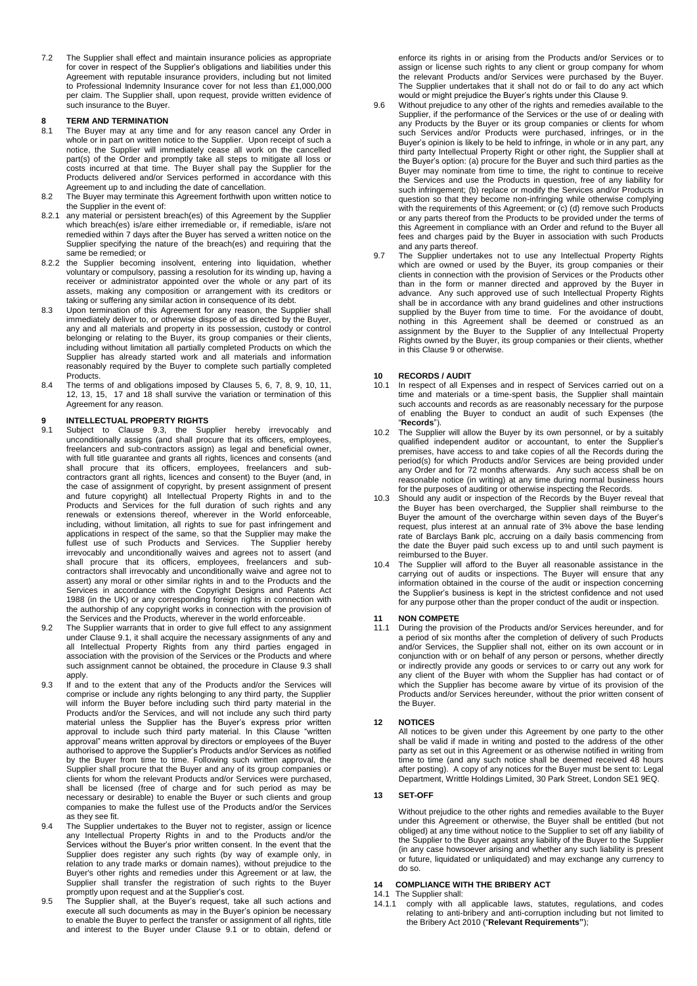7.2 The Supplier shall effect and maintain insurance policies as appropriate for cover in respect of the Supplier's obligations and liabilities under this Agreement with reputable insurance providers, including but not limited to Professional Indemnity Insurance cover for not less than £1,000,000 per claim. The Supplier shall, upon request, provide written evidence of such insurance to the Buyer.

## **8 TERM AND TERMINATION**<br>**8.1** The Buver may at any time

- The Buyer may at any time and for any reason cancel any Order in whole or in part on written notice to the Supplier. Upon receipt of such a notice, the Supplier will immediately cease all work on the cancelled part(s) of the Order and promptly take all steps to mitigate all loss or costs incurred at that time. The Buyer shall pay the Supplier for the Products delivered and/or Services performed in accordance with this Agreement up to and including the date of cancellation.
- 8.2 The Buyer may terminate this Agreement forthwith upon written notice to the Supplier in the event of:
- 8.2.1 any material or persistent breach(es) of this Agreement by the Supplier which breach(es) is/are either irremediable or, if remediable, is/are not remedied within 7 days after the Buyer has served a written notice on the Supplier specifying the nature of the breach(es) and requiring that the same be remedied; or
- 8.2.2 the Supplier becoming insolvent, entering into liquidation, whether voluntary or compulsory, passing a resolution for its winding up, having a receiver or administrator appointed over the whole or any part of its assets, making any composition or arrangement with its creditors or taking or suffering any similar action in consequence of its debt.
- 8.3 Upon termination of this Agreement for any reason, the Supplier shall immediately deliver to, or otherwise dispose of as directed by the Buyer, any and all materials and property in its possession, custody or control belonging or relating to the Buyer, its group companies or their clients, including without limitation all partially completed Products on which the Supplier has already started work and all materials and information reasonably required by the Buyer to complete such partially completed **Products**
- 8.4 The terms of and obligations imposed by Clauses 5, 6, 7, 8, 9, 10, 11, 12, 13, 15, 17 and 18 shall survive the variation or termination of this Agreement for any reason.

## **9 INTELLECTUAL PROPERTY RIGHTS**<br>9.1 Subject to Clause 9.3, the Sup

- Subject to Clause 9.3, the Supplier hereby irrevocably and unconditionally assigns (and shall procure that its officers, employees, freelancers and sub-contractors assign) as legal and beneficial owner, with full title guarantee and grants all rights, licences and consents (and shall procure that its officers, employees, freelancers and subcontractors grant all rights, licences and consent) to the Buyer (and, in the case of assignment of copyright, by present assignment of present and future copyright) all Intellectual Property Rights in and to the Products and Services for the full duration of such rights and any renewals or extensions thereof, wherever in the World enforceable, including, without limitation, all rights to sue for past infringement and applications in respect of the same, so that the Supplier may make the fullest use of such Products and Services. The Supplier hereby irrevocably and unconditionally waives and agrees not to assert (and shall procure that its officers, employees, freelancers and subcontractors shall irrevocably and unconditionally waive and agree not to assert) any moral or other similar rights in and to the Products and the Services in accordance with the Copyright Designs and Patents Act 1988 (in the UK) or any corresponding foreign rights in connection with the authorship of any copyright works in connection with the provision of the Services and the Products, wherever in the world enforceable.
- 9.2 The Supplier warrants that in order to give full effect to any assignment under Clause 9.1, it shall acquire the necessary assignments of any and all Intellectual Property Rights from any third parties engaged in association with the provision of the Services or the Products and where such assignment cannot be obtained, the procedure in Clause 9.3 shall apply.
- 9.3 If and to the extent that any of the Products and/or the Services will comprise or include any rights belonging to any third party, the Supplier will inform the Buyer before including such third party material in the Products and/or the Services, and will not include any such third party material unless the Supplier has the Buyer's express prior written approval to include such third party material. In this Clause "written approval" means written approval by directors or employees of the Buyer authorised to approve the Supplier's Products and/or Services as notified by the Buyer from time to time. Following such written approval, the Supplier shall procure that the Buyer and any of its group companies or clients for whom the relevant Products and/or Services were purchased, shall be licensed (free of charge and for such period as may be necessary or desirable) to enable the Buyer or such clients and group companies to make the fullest use of the Products and/or the Services as they see fit.
- 9.4 The Supplier undertakes to the Buyer not to register, assign or licence any Intellectual Property Rights in and to the Products and/or the Services without the Buyer's prior written consent. In the event that the Supplier does register any such rights (by way of example only, in relation to any trade marks or domain names), without prejudice to the Buyer's other rights and remedies under this Agreement or at law, the Supplier shall transfer the registration of such rights to the Buyer promptly upon request and at the Supplier's cost.
- 9.5 The Supplier shall, at the Buyer's request, take all such actions and execute all such documents as may in the Buyer's opinion be necessary to enable the Buyer to perfect the transfer or assignment of all rights, title and interest to the Buyer under Clause 9.1 or to obtain, defend or

enforce its rights in or arising from the Products and/or Services or to assign or license such rights to any client or group company for whom the relevant Products and/or Services were purchased by the Buyer. The Supplier undertakes that it shall not do or fail to do any act which would or might prejudice the Buyer's rights under this Clause 9.

- 9.6 Without prejudice to any other of the rights and remedies available to the Supplier, if the performance of the Services or the use of or dealing with any Products by the Buyer or its group companies or clients for whom such Services and/or Products were purchased, infringes, or in the Buyer's opinion is likely to be held to infringe, in whole or in any part, any third party Intellectual Property Right or other right, the Supplier shall at the Buyer's option: (a) procure for the Buyer and such third parties as the Buyer may nominate from time to time, the right to continue to receive the Services and use the Products in question, free of any liability for such infringement; (b) replace or modify the Services and/or Products in question so that they become non-infringing while otherwise complying with the requirements of this Agreement; or (c) (d) remove such Products or any parts thereof from the Products to be provided under the terms of this Agreement in compliance with an Order and refund to the Buyer all fees and charges paid by the Buyer in association with such Products and any parts thereof.
- 9.7 The Supplier undertakes not to use any Intellectual Property Rights which are owned or used by the Buyer, its group companies or their clients in connection with the provision of Services or the Products other than in the form or manner directed and approved by the Buyer in advance. Any such approved use of such Intellectual Property Rights shall be in accordance with any brand guidelines and other instructions supplied by the Buyer from time to time. For the avoidance of doubt, nothing in this Agreement shall be deemed or construed as an assignment by the Buyer to the Supplier of any Intellectual Property Rights owned by the Buyer, its group companies or their clients, whether in this Clause 9 or otherwise.

## **10 RECORDS / AUDIT**

- In respect of all Expenses and in respect of Services carried out on a time and materials or a time-spent basis, the Supplier shall maintain such accounts and records as are reasonably necessary for the purpose of enabling the Buyer to conduct an audit of such Expenses (the "**Records**").
- 10.2 The Supplier will allow the Buyer by its own personnel, or by a suitably qualified independent auditor or accountant, to enter the Supplier's premises, have access to and take copies of all the Records during the period(s) for which Products and/or Services are being provided under any Order and for 72 months afterwards. Any such access shall be on reasonable notice (in writing) at any time during normal business hours for the purposes of auditing or otherwise inspecting the Records.
- 10.3 Should any audit or inspection of the Records by the Buyer reveal that the Buyer has been overcharged, the Supplier shall reimburse to the Buyer the amount of the overcharge within seven days of the Buyer's request, plus interest at an annual rate of 3% above the base lending rate of Barclays Bank plc, accruing on a daily basis commencing from the date the Buyer paid such excess up to and until such payment is reimbursed to the Buyer.
- 10.4 The Supplier will afford to the Buyer all reasonable assistance in the carrying out of audits or inspections. The Buyer will ensure that any information obtained in the course of the audit or inspection concerning the Supplier's business is kept in the strictest confidence and not used for any purpose other than the proper conduct of the audit or inspection.

### **11 NON COMPETE**

During the provision of the Products and/or Services hereunder, and for a period of six months after the completion of delivery of such Products and/or Services, the Supplier shall not, either on its own account or in conjunction with or on behalf of any person or persons, whether directly or indirectly provide any goods or services to or carry out any work for any client of the Buyer with whom the Supplier has had contact or of which the Supplier has become aware by virtue of its provision of the Products and/or Services hereunder, without the prior written consent of the Buyer.

#### **12 NOTICES**

All notices to be given under this Agreement by one party to the other shall be valid if made in writing and posted to the address of the other party as set out in this Agreement or as otherwise notified in writing from time to time (and any such notice shall be deemed received 48 hours after posting). A copy of any notices for the Buyer must be sent to: Legal Department, Writtle Holdings Limited, 30 Park Street, London SE1 9EQ.

### **13 SET-OFF**

Without prejudice to the other rights and remedies available to the Buyer under this Agreement or otherwise, the Buyer shall be entitled (but not obliged) at any time without notice to the Supplier to set off any liability of the Supplier to the Buyer against any liability of the Buyer to the Supplier (in any case howsoever arising and whether any such liability is present or future, liquidated or unliquidated) and may exchange any currency to do so.

#### <span id="page-2-0"></span>**14 COMPLIANCE WITH THE BRIBERY ACT**

### 14.1 The Supplier shall:

14.1.1 comply with all applicable laws, statutes, regulations, and codes relating to anti-bribery and anti-corruption including but not limited to the Bribery Act 2010 ("**Relevant Requirements"**);